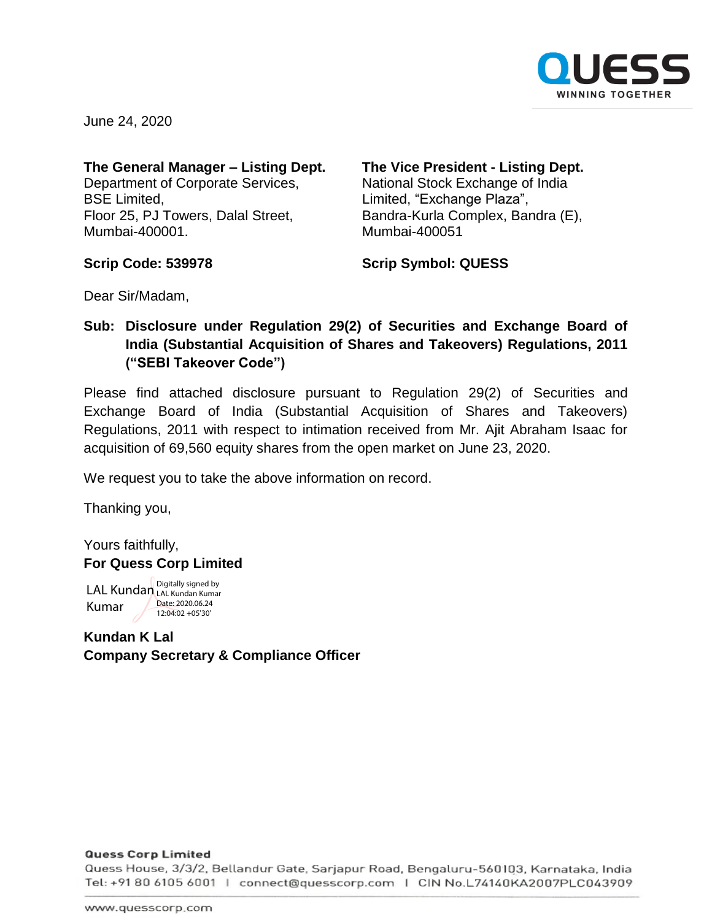

June 24, 2020

#### **The General Manager – Listing Dept.** Department of Corporate Services,

BSE Limited, Floor 25, PJ Towers, Dalal Street, Mumbai-400001.

### **The Vice President - Listing Dept.** National Stock Exchange of India Limited, "Exchange Plaza", Bandra-Kurla Complex, Bandra (E), Mumbai-400051

**Scrip Code: 539978**

**Scrip Symbol: QUESS**

Dear Sir/Madam,

## **Sub: Disclosure under Regulation 29(2) of Securities and Exchange Board of India (Substantial Acquisition of Shares and Takeovers) Regulations, 2011 ("SEBI Takeover Code")**

Please find attached disclosure pursuant to Regulation 29(2) of Securities and Exchange Board of India (Substantial Acquisition of Shares and Takeovers) Regulations, 2011 with respect to intimation received from Mr. Ajit Abraham Isaac for acquisition of 69,560 equity shares from the open market on June 23, 2020.

We request you to take the above information on record.

Thanking you,

Yours faithfully, **For Quess Corp Limited**

LAL Kundan Digitally signed by Kumar LAL Kundan Kumar Date: 2020.06.24 12:04:02 +05'30'

**Kundan K Lal Company Secretary & Compliance Officer**

#### **Quess Corp Limited**

Quess House, 3/3/2, Bellandur Gate, Sarjapur Road, Bengaluru-560103, Karnataka, India Tel: +91 80 6105 6001 | connect@quesscorp.com | CIN No.L74140KA2007PLC043909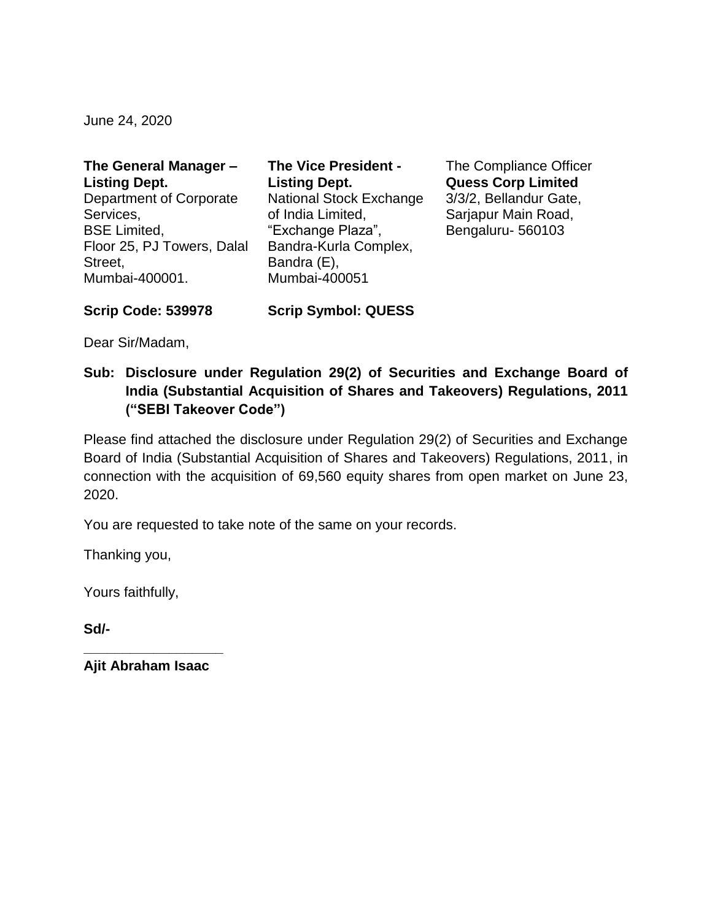June 24, 2020

| The General Manager -      | <b>The Vice President -</b>    |
|----------------------------|--------------------------------|
| <b>Listing Dept.</b>       | <b>Listing Dept.</b>           |
| Department of Corporate    | <b>National Stock Exchange</b> |
| Services,                  | of India Limited,              |
| <b>BSE Limited,</b>        | "Exchange Plaza",              |
| Floor 25, PJ Towers, Dalal | Bandra-Kurla Complex,          |
| Street,                    | Bandra (E),                    |
| Mumbai-400001.             | Mumbai-400051                  |
|                            |                                |

The Compliance Officer **Quess Corp Limited** 3/3/2, Bellandur Gate, Sarjapur Main Road, Bengaluru- 560103

**Scrip Code: 539978 Scrip Symbol: QUESS**

Dear Sir/Madam,

**Sub: Disclosure under Regulation 29(2) of Securities and Exchange Board of India (Substantial Acquisition of Shares and Takeovers) Regulations, 2011 ("SEBI Takeover Code")**

Please find attached the disclosure under Regulation 29(2) of Securities and Exchange Board of India (Substantial Acquisition of Shares and Takeovers) Regulations, 2011, in connection with the acquisition of 69,560 equity shares from open market on June 23, 2020.

You are requested to take note of the same on your records.

Thanking you,

Yours faithfully,

**Sd/-**

**\_\_\_\_\_\_\_\_\_\_\_\_\_\_\_\_\_\_ Ajit Abraham Isaac**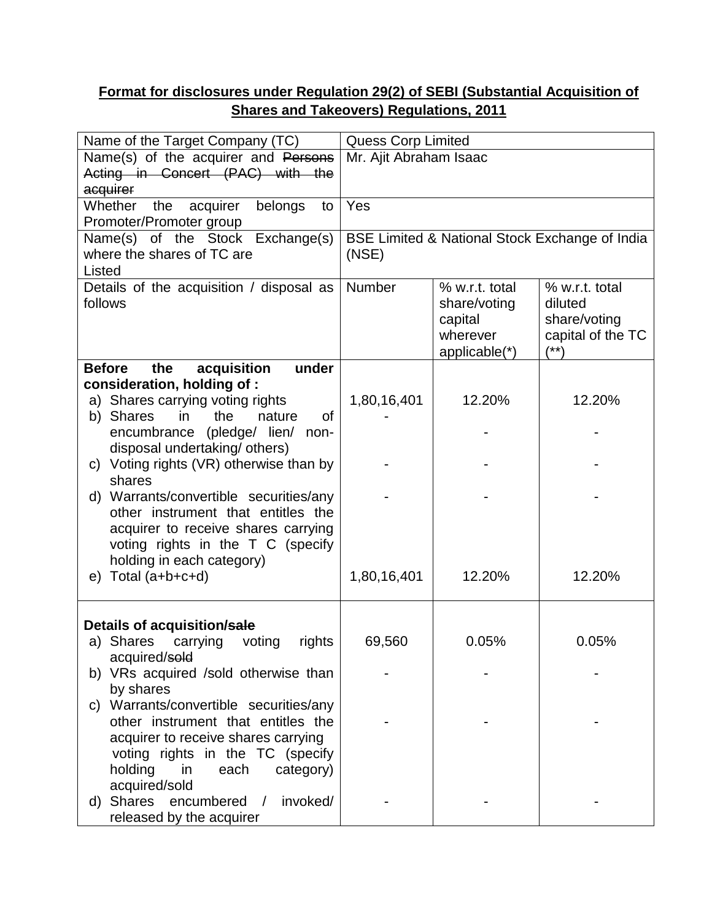# **Format for disclosures under Regulation 29(2) of SEBI (Substantial Acquisition of Shares and Takeovers) Regulations, 2011**

| Name of the Target Company (TC)                                             |                                                | <b>Quess Corp Limited</b> |                   |  |
|-----------------------------------------------------------------------------|------------------------------------------------|---------------------------|-------------------|--|
| Name(s) of the acquirer and Persons                                         | Mr. Ajit Abraham Isaac                         |                           |                   |  |
| Acting in Concert (PAC) with the                                            |                                                |                           |                   |  |
| acquirer                                                                    |                                                |                           |                   |  |
| Whether<br>the<br>acquirer<br>belongs<br>to                                 | Yes                                            |                           |                   |  |
| Promoter/Promoter group                                                     |                                                |                           |                   |  |
| Name(s) of the Stock Exchange(s)                                            | BSE Limited & National Stock Exchange of India |                           |                   |  |
| where the shares of TC are                                                  | (NSE)                                          |                           |                   |  |
| Listed                                                                      |                                                |                           |                   |  |
| Details of the acquisition / disposal as                                    | Number                                         | % w.r.t. total            | % w.r.t. total    |  |
| follows                                                                     |                                                | share/voting              | diluted           |  |
|                                                                             |                                                | capital                   | share/voting      |  |
|                                                                             |                                                | wherever                  | capital of the TC |  |
|                                                                             |                                                | applicable(*)             | (**)              |  |
| acquisition<br>under<br><b>Before</b><br>the                                |                                                |                           |                   |  |
| consideration, holding of:                                                  |                                                | 12.20%                    | 12.20%            |  |
| a) Shares carrying voting rights<br>of<br>b) Shares<br>the<br>nature<br>in. | 1,80,16,401                                    |                           |                   |  |
| encumbrance (pledge/ lien/ non-                                             |                                                |                           |                   |  |
| disposal undertaking/ others)                                               |                                                |                           |                   |  |
| c) Voting rights (VR) otherwise than by                                     |                                                |                           |                   |  |
| shares                                                                      |                                                |                           |                   |  |
| d) Warrants/convertible securities/any                                      |                                                |                           |                   |  |
| other instrument that entitles the                                          |                                                |                           |                   |  |
| acquirer to receive shares carrying                                         |                                                |                           |                   |  |
| voting rights in the T C (specify                                           |                                                |                           |                   |  |
| holding in each category)                                                   |                                                |                           |                   |  |
| Total (a+b+c+d)<br>e)                                                       | 1,80,16,401                                    | 12.20%                    | 12.20%            |  |
|                                                                             |                                                |                           |                   |  |
|                                                                             |                                                |                           |                   |  |
| Details of acquisition/sale                                                 |                                                |                           |                   |  |
| a) Shares<br>carrying<br>voting<br>rights                                   | 69,560                                         | 0.05%                     | 0.05%             |  |
| acquired/sold                                                               |                                                |                           |                   |  |
| b) VRs acquired /sold otherwise than                                        |                                                |                           |                   |  |
| by shares                                                                   |                                                |                           |                   |  |
| Warrants/convertible securities/any<br>C)                                   |                                                |                           |                   |  |
| other instrument that entitles the                                          |                                                |                           |                   |  |
| acquirer to receive shares carrying                                         |                                                |                           |                   |  |
| voting rights in the TC (specify                                            |                                                |                           |                   |  |
| holding<br>in<br>each<br>category)                                          |                                                |                           |                   |  |
| acquired/sold<br>Shares                                                     |                                                |                           |                   |  |
| encumbered<br>invoked/<br>$\sqrt{2}$<br>d)                                  |                                                |                           |                   |  |
| released by the acquirer                                                    |                                                |                           |                   |  |